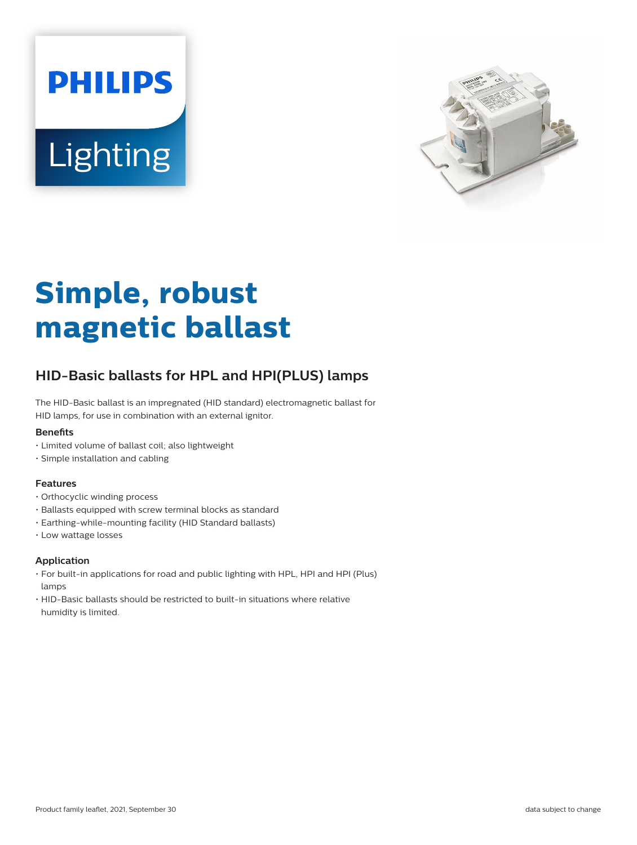



# **Simple, robust magnetic ballast**

## **HID-Basic ballasts for HPL and HPI(PLUS) lamps**

The HID-Basic ballast is an impregnated (HID standard) electromagnetic ballast for HID lamps, for use in combination with an external ignitor.

#### **Benets**

- Limited volume of ballast coil; also lightweight
- Simple installation and cabling

#### **Features**

- Orthocyclic winding process
- Ballasts equipped with screw terminal blocks as standard
- Earthing-while-mounting facility (HID Standard ballasts)
- Low wattage losses

#### **Application**

- For built-in applications for road and public lighting with HPL, HPI and HPI (Plus) lamps
- HID-Basic ballasts should be restricted to built-in situations where relative humidity is limited.